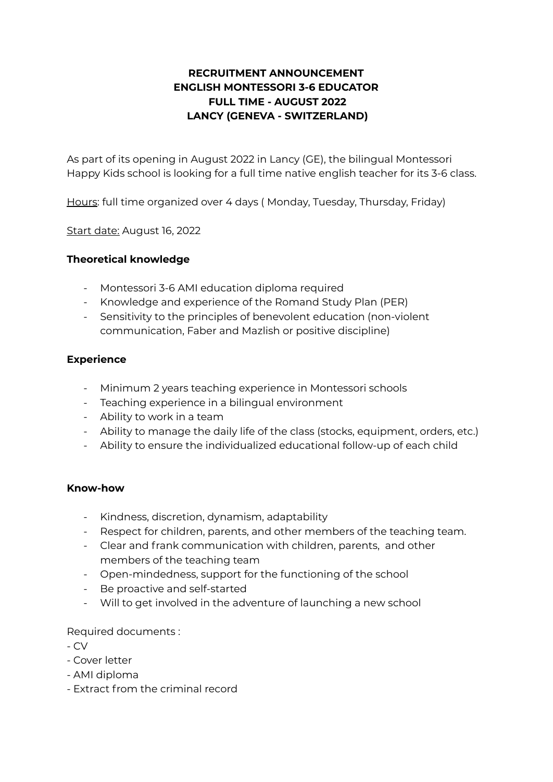## **RECRUITMENT ANNOUNCEMENT ENGLISH MONTESSORI 3-6 EDUCATOR FULL TIME - AUGUST 2022 LANCY (GENEVA - SWITZERLAND)**

As part of its opening in August 2022 in Lancy (GE), the bilingual Montessori Happy Kids school is looking for a full time native english teacher for its 3-6 class.

Hours: full time organized over 4 days ( Monday, Tuesday, Thursday, Friday)

Start date: August 16, 2022

## **Theoretical knowledge**

- Montessori 3-6 AMI education diploma required
- Knowledge and experience of the Romand Study Plan (PER)
- Sensitivity to the principles of benevolent education (non-violent communication, Faber and Mazlish or positive discipline)

## **Experience**

- Minimum 2 years teaching experience in Montessori schools
- Teaching experience in a bilingual environment
- Ability to work in a team
- Ability to manage the daily life of the class (stocks, equipment, orders, etc.)
- Ability to ensure the individualized educational follow-up of each child

## **Know-how**

- Kindness, discretion, dynamism, adaptability
- Respect for children, parents, and other members of the teaching team.
- Clear and frank communication with children, parents, and other members of the teaching team
- Open-mindedness, support for the functioning of the school
- Be proactive and self-started
- Will to get involved in the adventure of launching a new school

Required documents :

- CV

- Cover letter
- AMI diploma
- Extract from the criminal record